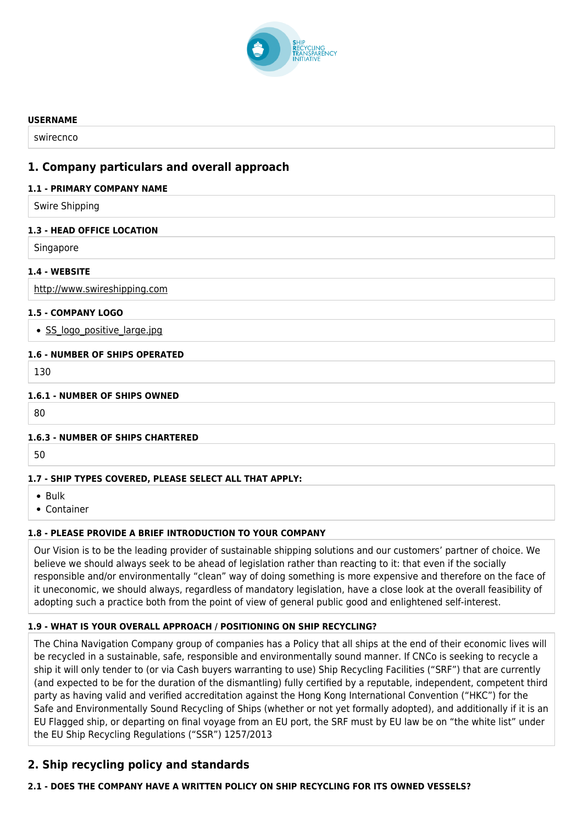

#### **USERNAME**

swirecnco

# **1. Company particulars and overall approach**

#### **1.1 - PRIMARY COMPANY NAME**

Swire Shipping

#### **1.3 - HEAD OFFICE LOCATION**

**Singapore** 

## **1.4 - WEBSITE**

<http://www.swireshipping.com>

## **1.5 - COMPANY LOGO**

• SS logo positive large.jpg

#### **1.6 - NUMBER OF SHIPS OPERATED**

130

#### **1.6.1 - NUMBER OF SHIPS OWNED**

80

## **1.6.3 - NUMBER OF SHIPS CHARTERED**

50

## **1.7 - SHIP TYPES COVERED, PLEASE SELECT ALL THAT APPLY:**

- Bulk
- Container

## **1.8 - PLEASE PROVIDE A BRIEF INTRODUCTION TO YOUR COMPANY**

Our Vision is to be the leading provider of sustainable shipping solutions and our customers' partner of choice. We believe we should always seek to be ahead of legislation rather than reacting to it: that even if the socially responsible and/or environmentally "clean" way of doing something is more expensive and therefore on the face of it uneconomic, we should always, regardless of mandatory legislation, have a close look at the overall feasibility of adopting such a practice both from the point of view of general public good and enlightened self-interest.

## **1.9 - WHAT IS YOUR OVERALL APPROACH / POSITIONING ON SHIP RECYCLING?**

The China Navigation Company group of companies has a Policy that all ships at the end of their economic lives will be recycled in a sustainable, safe, responsible and environmentally sound manner. If CNCo is seeking to recycle a ship it will only tender to (or via Cash buyers warranting to use) Ship Recycling Facilities ("SRF") that are currently (and expected to be for the duration of the dismantling) fully certified by a reputable, independent, competent third party as having valid and verified accreditation against the Hong Kong International Convention ("HKC") for the Safe and Environmentally Sound Recycling of Ships (whether or not yet formally adopted), and additionally if it is an EU Flagged ship, or departing on final voyage from an EU port, the SRF must by EU law be on "the white list" under the EU Ship Recycling Regulations ("SSR") 1257/2013

# **2. Ship recycling policy and standards**

# **2.1 - DOES THE COMPANY HAVE A WRITTEN POLICY ON SHIP RECYCLING FOR ITS OWNED VESSELS?**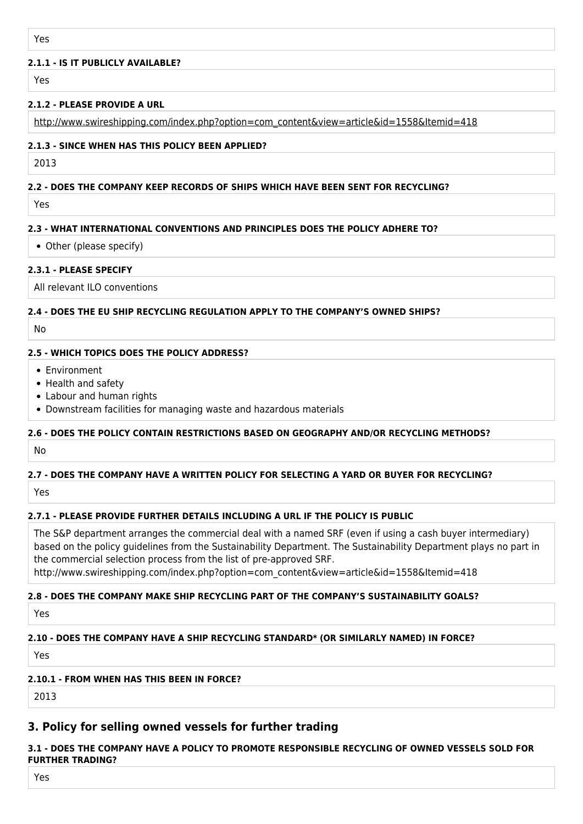## **2.1.1 - IS IT PUBLICLY AVAILABLE?**

Yes

## **2.1.2 - PLEASE PROVIDE A URL**

[http://www.swireshipping.com/index.php?option=com\\_content&view=article&id=1558&Itemid=418](http://www.swireshipping.com/index.php?option=com_content&view=article&id=1558&Itemid=418)

## **2.1.3 - SINCE WHEN HAS THIS POLICY BEEN APPLIED?**

2013

# **2.2 - DOES THE COMPANY KEEP RECORDS OF SHIPS WHICH HAVE BEEN SENT FOR RECYCLING?**

Yes

# **2.3 - WHAT INTERNATIONAL CONVENTIONS AND PRINCIPLES DOES THE POLICY ADHERE TO?**

Other (please specify)

## **2.3.1 - PLEASE SPECIFY**

All relevant ILO conventions

## **2.4 - DOES THE EU SHIP RECYCLING REGULATION APPLY TO THE COMPANY'S OWNED SHIPS?**

No

## **2.5 - WHICH TOPICS DOES THE POLICY ADDRESS?**

- Environment
- Health and safety
- Labour and human rights
- Downstream facilities for managing waste and hazardous materials

# **2.6 - DOES THE POLICY CONTAIN RESTRICTIONS BASED ON GEOGRAPHY AND/OR RECYCLING METHODS?**

No

# **2.7 - DOES THE COMPANY HAVE A WRITTEN POLICY FOR SELECTING A YARD OR BUYER FOR RECYCLING?**

Yes

# **2.7.1 - PLEASE PROVIDE FURTHER DETAILS INCLUDING A URL IF THE POLICY IS PUBLIC**

The S&P department arranges the commercial deal with a named SRF (even if using a cash buyer intermediary) based on the policy guidelines from the Sustainability Department. The Sustainability Department plays no part in the commercial selection process from the list of pre-approved SRF.

http://www.swireshipping.com/index.php?option=com\_content&view=article&id=1558&Itemid=418

# **2.8 - DOES THE COMPANY MAKE SHIP RECYCLING PART OF THE COMPANY'S SUSTAINABILITY GOALS?**

**Yes** 

# **2.10 - DOES THE COMPANY HAVE A SHIP RECYCLING STANDARD\* (OR SIMILARLY NAMED) IN FORCE?**

Yes

# **2.10.1 - FROM WHEN HAS THIS BEEN IN FORCE?**

2013

# **3. Policy for selling owned vessels for further trading**

# **3.1 - DOES THE COMPANY HAVE A POLICY TO PROMOTE RESPONSIBLE RECYCLING OF OWNED VESSELS SOLD FOR FURTHER TRADING?**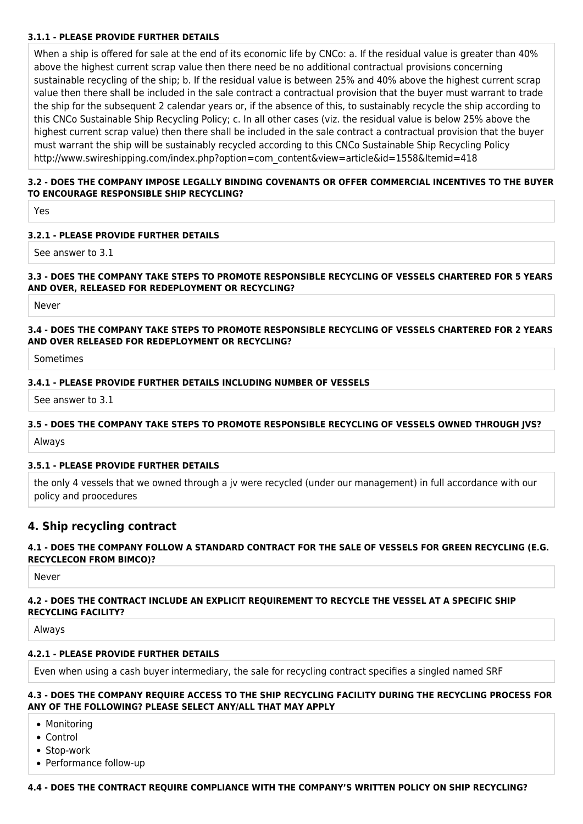## **3.1.1 - PLEASE PROVIDE FURTHER DETAILS**

When a ship is offered for sale at the end of its economic life by CNCo: a. If the residual value is greater than 40% above the highest current scrap value then there need be no additional contractual provisions concerning sustainable recycling of the ship; b. If the residual value is between 25% and 40% above the highest current scrap value then there shall be included in the sale contract a contractual provision that the buyer must warrant to trade the ship for the subsequent 2 calendar years or, if the absence of this, to sustainably recycle the ship according to this CNCo Sustainable Ship Recycling Policy; c. In all other cases (viz. the residual value is below 25% above the highest current scrap value) then there shall be included in the sale contract a contractual provision that the buyer must warrant the ship will be sustainably recycled according to this CNCo Sustainable Ship Recycling Policy http://www.swireshipping.com/index.php?option=com\_content&view=article&id=1558&Itemid=418

## **3.2 - DOES THE COMPANY IMPOSE LEGALLY BINDING COVENANTS OR OFFER COMMERCIAL INCENTIVES TO THE BUYER TO ENCOURAGE RESPONSIBLE SHIP RECYCLING?**

Yes

## **3.2.1 - PLEASE PROVIDE FURTHER DETAILS**

See answer to 3.1

#### **3.3 - DOES THE COMPANY TAKE STEPS TO PROMOTE RESPONSIBLE RECYCLING OF VESSELS CHARTERED FOR 5 YEARS AND OVER, RELEASED FOR REDEPLOYMENT OR RECYCLING?**

Never

## **3.4 - DOES THE COMPANY TAKE STEPS TO PROMOTE RESPONSIBLE RECYCLING OF VESSELS CHARTERED FOR 2 YEARS AND OVER RELEASED FOR REDEPLOYMENT OR RECYCLING?**

Sometimes

#### **3.4.1 - PLEASE PROVIDE FURTHER DETAILS INCLUDING NUMBER OF VESSELS**

See answer to 3.1

#### **3.5 - DOES THE COMPANY TAKE STEPS TO PROMOTE RESPONSIBLE RECYCLING OF VESSELS OWNED THROUGH JVS?**

Always

## **3.5.1 - PLEASE PROVIDE FURTHER DETAILS**

the only 4 vessels that we owned through a jv were recycled (under our management) in full accordance with our policy and proocedures

# **4. Ship recycling contract**

## **4.1 - DOES THE COMPANY FOLLOW A STANDARD CONTRACT FOR THE SALE OF VESSELS FOR GREEN RECYCLING (E.G. RECYCLECON FROM BIMCO)?**

Never

#### **4.2 - DOES THE CONTRACT INCLUDE AN EXPLICIT REQUIREMENT TO RECYCLE THE VESSEL AT A SPECIFIC SHIP RECYCLING FACILITY?**

Always

#### **4.2.1 - PLEASE PROVIDE FURTHER DETAILS**

Even when using a cash buyer intermediary, the sale for recycling contract specifies a singled named SRF

#### **4.3 - DOES THE COMPANY REQUIRE ACCESS TO THE SHIP RECYCLING FACILITY DURING THE RECYCLING PROCESS FOR ANY OF THE FOLLOWING? PLEASE SELECT ANY/ALL THAT MAY APPLY**

- Monitoring
- Control
- Stop-work
- Performance follow-up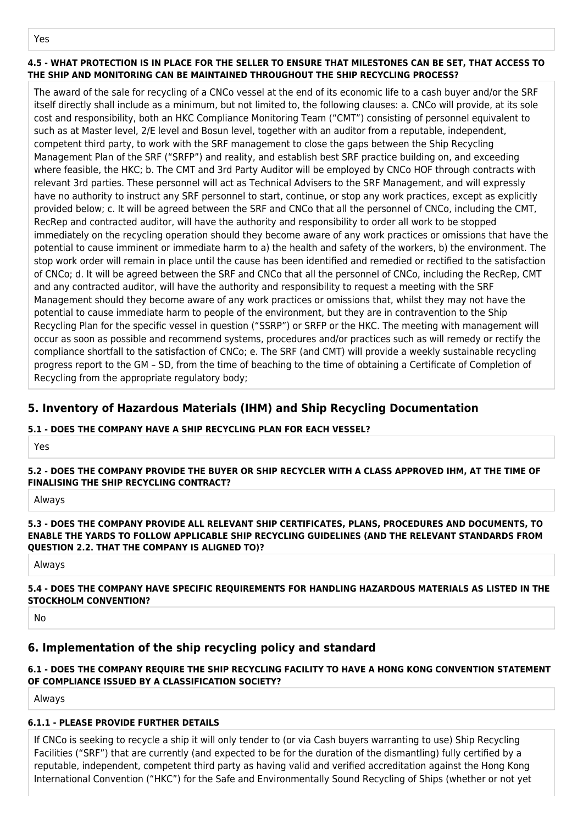## **4.5 - WHAT PROTECTION IS IN PLACE FOR THE SELLER TO ENSURE THAT MILESTONES CAN BE SET, THAT ACCESS TO THE SHIP AND MONITORING CAN BE MAINTAINED THROUGHOUT THE SHIP RECYCLING PROCESS?**

The award of the sale for recycling of a CNCo vessel at the end of its economic life to a cash buyer and/or the SRF itself directly shall include as a minimum, but not limited to, the following clauses: a. CNCo will provide, at its sole cost and responsibility, both an HKC Compliance Monitoring Team ("CMT") consisting of personnel equivalent to such as at Master level, 2/E level and Bosun level, together with an auditor from a reputable, independent, competent third party, to work with the SRF management to close the gaps between the Ship Recycling Management Plan of the SRF ("SRFP") and reality, and establish best SRF practice building on, and exceeding where feasible, the HKC; b. The CMT and 3rd Party Auditor will be employed by CNCo HOF through contracts with relevant 3rd parties. These personnel will act as Technical Advisers to the SRF Management, and will expressly have no authority to instruct any SRF personnel to start, continue, or stop any work practices, except as explicitly provided below; c. It will be agreed between the SRF and CNCo that all the personnel of CNCo, including the CMT, RecRep and contracted auditor, will have the authority and responsibility to order all work to be stopped immediately on the recycling operation should they become aware of any work practices or omissions that have the potential to cause imminent or immediate harm to a) the health and safety of the workers, b) the environment. The stop work order will remain in place until the cause has been identified and remedied or rectified to the satisfaction of CNCo; d. It will be agreed between the SRF and CNCo that all the personnel of CNCo, including the RecRep, CMT and any contracted auditor, will have the authority and responsibility to request a meeting with the SRF Management should they become aware of any work practices or omissions that, whilst they may not have the potential to cause immediate harm to people of the environment, but they are in contravention to the Ship Recycling Plan for the specific vessel in question ("SSRP") or SRFP or the HKC. The meeting with management will occur as soon as possible and recommend systems, procedures and/or practices such as will remedy or rectify the compliance shortfall to the satisfaction of CNCo; e. The SRF (and CMT) will provide a weekly sustainable recycling progress report to the GM – SD, from the time of beaching to the time of obtaining a Certificate of Completion of Recycling from the appropriate regulatory body;

# **5. Inventory of Hazardous Materials (IHM) and Ship Recycling Documentation**

# **5.1 - DOES THE COMPANY HAVE A SHIP RECYCLING PLAN FOR EACH VESSEL?**

Yes

**5.2 - DOES THE COMPANY PROVIDE THE BUYER OR SHIP RECYCLER WITH A CLASS APPROVED IHM, AT THE TIME OF FINALISING THE SHIP RECYCLING CONTRACT?**

Always

## **5.3 - DOES THE COMPANY PROVIDE ALL RELEVANT SHIP CERTIFICATES, PLANS, PROCEDURES AND DOCUMENTS, TO ENABLE THE YARDS TO FOLLOW APPLICABLE SHIP RECYCLING GUIDELINES (AND THE RELEVANT STANDARDS FROM QUESTION 2.2. THAT THE COMPANY IS ALIGNED TO)?**

Always

## **5.4 - DOES THE COMPANY HAVE SPECIFIC REQUIREMENTS FOR HANDLING HAZARDOUS MATERIALS AS LISTED IN THE STOCKHOLM CONVENTION?**

No

# **6. Implementation of the ship recycling policy and standard**

# **6.1 - DOES THE COMPANY REQUIRE THE SHIP RECYCLING FACILITY TO HAVE A HONG KONG CONVENTION STATEMENT OF COMPLIANCE ISSUED BY A CLASSIFICATION SOCIETY?**

Always

# **6.1.1 - PLEASE PROVIDE FURTHER DETAILS**

If CNCo is seeking to recycle a ship it will only tender to (or via Cash buyers warranting to use) Ship Recycling Facilities ("SRF") that are currently (and expected to be for the duration of the dismantling) fully certified by a reputable, independent, competent third party as having valid and verified accreditation against the Hong Kong International Convention ("HKC") for the Safe and Environmentally Sound Recycling of Ships (whether or not yet